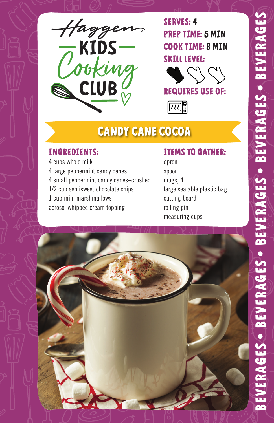

**SERVES: 4 PREP TIME: 5 MIN COOK TIME: 8 MIN SKILL LEVEL:**



网

# **CANDY CANE COCOA**

#### **INGREDIENTS:**

4 cups whole milk 4 large peppermint candy canes 4 small peppermint candy canes–crushed 1/2 cup semisweet chocolate chips 1 cup mini marshmallows aerosol whipped cream topping

#### **ITEMS TO GATHER:**

apron spoon mugs, 4 large sealable plastic bag cutting board rolling pin measuring cups